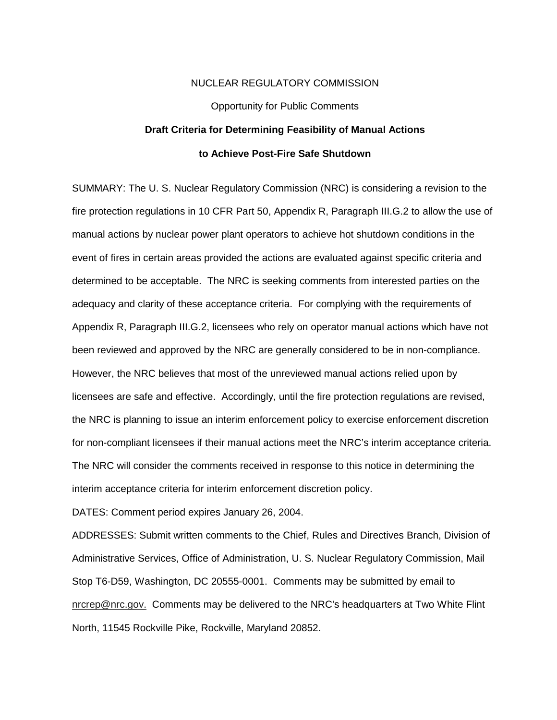## NUCLEAR REGULATORY COMMISSION

# Opportunity for Public Comments **Draft Criteria for Determining Feasibility of Manual Actions to Achieve Post-Fire Safe Shutdown**

SUMMARY: The U. S. Nuclear Regulatory Commission (NRC) is considering a revision to the fire protection regulations in 10 CFR Part 50, Appendix R, Paragraph III.G.2 to allow the use of manual actions by nuclear power plant operators to achieve hot shutdown conditions in the event of fires in certain areas provided the actions are evaluated against specific criteria and determined to be acceptable. The NRC is seeking comments from interested parties on the adequacy and clarity of these acceptance criteria. For complying with the requirements of Appendix R, Paragraph III.G.2, licensees who rely on operator manual actions which have not been reviewed and approved by the NRC are generally considered to be in non-compliance. However, the NRC believes that most of the unreviewed manual actions relied upon by licensees are safe and effective. Accordingly, until the fire protection regulations are revised, the NRC is planning to issue an interim enforcement policy to exercise enforcement discretion for non-compliant licensees if their manual actions meet the NRC's interim acceptance criteria. The NRC will consider the comments received in response to this notice in determining the interim acceptance criteria for interim enforcement discretion policy.

DATES: Comment period expires January 26, 2004.

ADDRESSES: Submit written comments to the Chief, Rules and Directives Branch, Division of Administrative Services, Office of Administration, U. S. Nuclear Regulatory Commission, Mail Stop T6-D59, Washington, DC 20555-0001. Comments may be submitted by email to nrcrep@nrc.gov. Comments may be delivered to the NRC's headquarters at Two White Flint North, 11545 Rockville Pike, Rockville, Maryland 20852.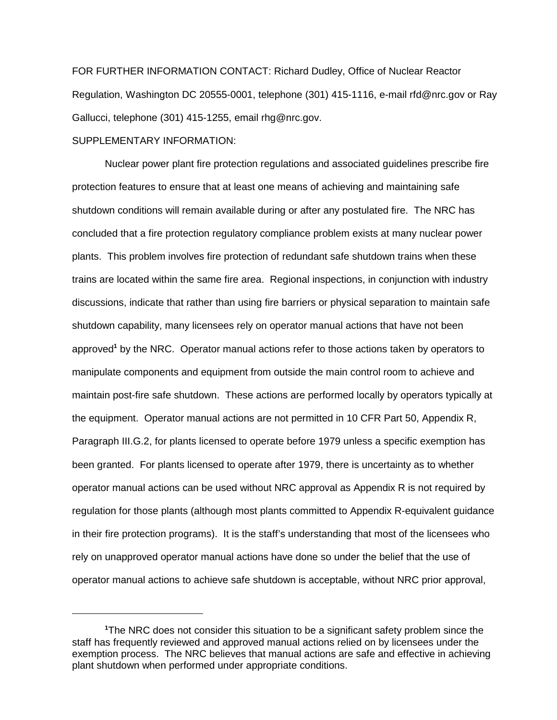FOR FURTHER INFORMATION CONTACT: Richard Dudley, Office of Nuclear Reactor Regulation, Washington DC 20555-0001, telephone (301) 415-1116, e-mail rfd@nrc.gov or Ray Gallucci, telephone (301) 415-1255, email rhg@nrc.gov.

# SUPPLEMENTARY INFORMATION:

Nuclear power plant fire protection regulations and associated guidelines prescribe fire protection features to ensure that at least one means of achieving and maintaining safe shutdown conditions will remain available during or after any postulated fire. The NRC has concluded that a fire protection regulatory compliance problem exists at many nuclear power plants. This problem involves fire protection of redundant safe shutdown trains when these trains are located within the same fire area. Regional inspections, in conjunction with industry discussions, indicate that rather than using fire barriers or physical separation to maintain safe shutdown capability, many licensees rely on operator manual actions that have not been approved<sup>1</sup> by the NRC. Operator manual actions refer to those actions taken by operators to manipulate components and equipment from outside the main control room to achieve and maintain post-fire safe shutdown. These actions are performed locally by operators typically at the equipment. Operator manual actions are not permitted in 10 CFR Part 50, Appendix R, Paragraph III.G.2, for plants licensed to operate before 1979 unless a specific exemption has been granted. For plants licensed to operate after 1979, there is uncertainty as to whether operator manual actions can be used without NRC approval as Appendix R is not required by regulation for those plants (although most plants committed to Appendix R-equivalent guidance in their fire protection programs). It is the staff's understanding that most of the licensees who rely on unapproved operator manual actions have done so under the belief that the use of operator manual actions to achieve safe shutdown is acceptable, without NRC prior approval,

**<sup>1</sup>** The NRC does not consider this situation to be a significant safety problem since the staff has frequently reviewed and approved manual actions relied on by licensees under the exemption process. The NRC believes that manual actions are safe and effective in achieving plant shutdown when performed under appropriate conditions.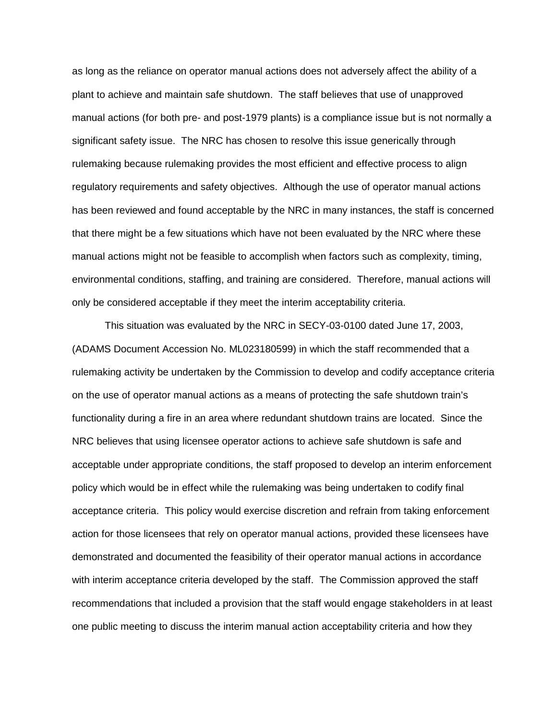as long as the reliance on operator manual actions does not adversely affect the ability of a plant to achieve and maintain safe shutdown. The staff believes that use of unapproved manual actions (for both pre- and post-1979 plants) is a compliance issue but is not normally a significant safety issue. The NRC has chosen to resolve this issue generically through rulemaking because rulemaking provides the most efficient and effective process to align regulatory requirements and safety objectives. Although the use of operator manual actions has been reviewed and found acceptable by the NRC in many instances, the staff is concerned that there might be a few situations which have not been evaluated by the NRC where these manual actions might not be feasible to accomplish when factors such as complexity, timing, environmental conditions, staffing, and training are considered. Therefore, manual actions will only be considered acceptable if they meet the interim acceptability criteria.

This situation was evaluated by the NRC in SECY-03-0100 dated June 17, 2003, (ADAMS Document Accession No. ML023180599) in which the staff recommended that a rulemaking activity be undertaken by the Commission to develop and codify acceptance criteria on the use of operator manual actions as a means of protecting the safe shutdown train's functionality during a fire in an area where redundant shutdown trains are located. Since the NRC believes that using licensee operator actions to achieve safe shutdown is safe and acceptable under appropriate conditions, the staff proposed to develop an interim enforcement policy which would be in effect while the rulemaking was being undertaken to codify final acceptance criteria. This policy would exercise discretion and refrain from taking enforcement action for those licensees that rely on operator manual actions, provided these licensees have demonstrated and documented the feasibility of their operator manual actions in accordance with interim acceptance criteria developed by the staff. The Commission approved the staff recommendations that included a provision that the staff would engage stakeholders in at least one public meeting to discuss the interim manual action acceptability criteria and how they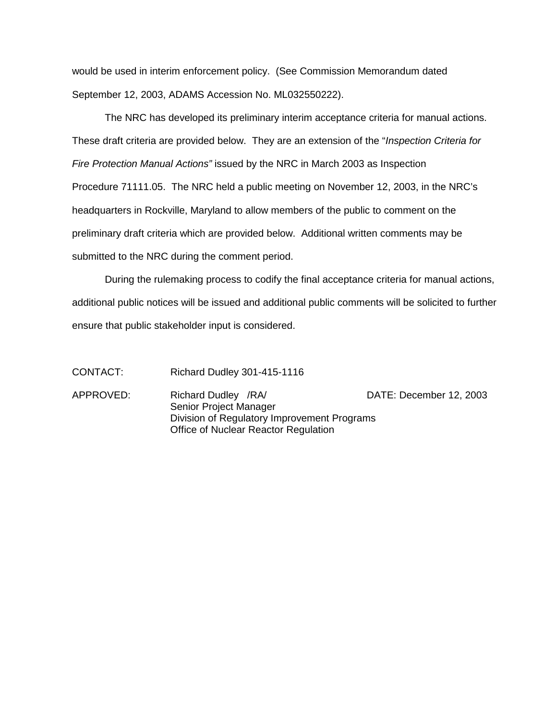would be used in interim enforcement policy. (See Commission Memorandum dated September 12, 2003, ADAMS Accession No. ML032550222).

The NRC has developed its preliminary interim acceptance criteria for manual actions. These draft criteria are provided below. They are an extension of the "*Inspection Criteria for* Fire Protection Manual Actions" issued by the NRC in March 2003 as Inspection Procedure 71111.05. The NRC held a public meeting on November 12, 2003, in the NRC's headquarters in Rockville, Maryland to allow members of the public to comment on the preliminary draft criteria which are provided below. Additional written comments may be submitted to the NRC during the comment period.

During the rulemaking process to codify the final acceptance criteria for manual actions, additional public notices will be issued and additional public comments will be solicited to further ensure that public stakeholder input is considered.

CONTACT: Richard Dudley 301-415-1116

APPROVED: Richard Dudley /RA/ DATE: December 12, 2003 Senior Project Manager Division of Regulatory Improvement Programs Office of Nuclear Reactor Regulation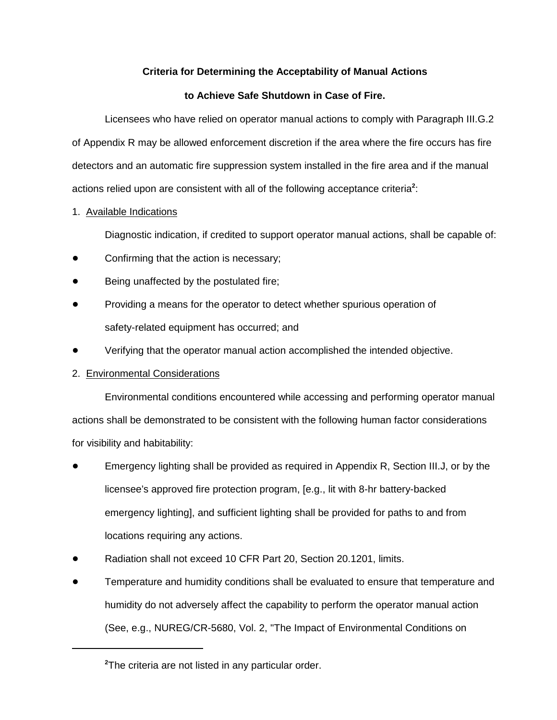# **Criteria for Determining the Acceptability of Manual Actions**

# **to Achieve Safe Shutdown in Case of Fire.**

Licensees who have relied on operator manual actions to comply with Paragraph III.G.2 of Appendix R may be allowed enforcement discretion if the area where the fire occurs has fire detectors and an automatic fire suppression system installed in the fire area and if the manual actions relied upon are consistent with all of the following acceptance criteria<sup>2</sup>:

1. Available Indications

Diagnostic indication, if credited to support operator manual actions, shall be capable of:

- Confirming that the action is necessary;
- Being unaffected by the postulated fire;
- Providing a means for the operator to detect whether spurious operation of safety-related equipment has occurred; and
- Verifying that the operator manual action accomplished the intended objective.
- 2. Environmental Considerations

Environmental conditions encountered while accessing and performing operator manual actions shall be demonstrated to be consistent with the following human factor considerations for visibility and habitability:

- Emergency lighting shall be provided as required in Appendix R, Section III.J, or by the licensee's approved fire protection program, [e.g., lit with 8-hr battery-backed emergency lighting], and sufficient lighting shall be provided for paths to and from locations requiring any actions.
- Radiation shall not exceed 10 CFR Part 20, Section 20.1201, limits.
- Temperature and humidity conditions shall be evaluated to ensure that temperature and humidity do not adversely affect the capability to perform the operator manual action (See, e.g., NUREG/CR-5680, Vol. 2, "The Impact of Environmental Conditions on

**<sup>2</sup>** The criteria are not listed in any particular order.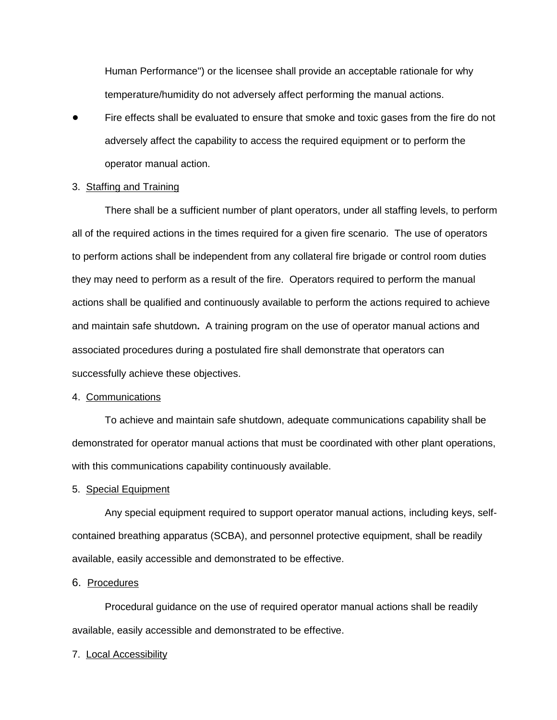Human Performance") or the licensee shall provide an acceptable rationale for why temperature/humidity do not adversely affect performing the manual actions.

 Fire effects shall be evaluated to ensure that smoke and toxic gases from the fire do not adversely affect the capability to access the required equipment or to perform the operator manual action.

## 3. Staffing and Training

There shall be a sufficient number of plant operators, under all staffing levels, to perform all of the required actions in the times required for a given fire scenario. The use of operators to perform actions shall be independent from any collateral fire brigade or control room duties they may need to perform as a result of the fire. Operators required to perform the manual actions shall be qualified and continuously available to perform the actions required to achieve and maintain safe shutdown**.** A training program on the use of operator manual actions and associated procedures during a postulated fire shall demonstrate that operators can successfully achieve these objectives.

## 4. Communications

To achieve and maintain safe shutdown, adequate communications capability shall be demonstrated for operator manual actions that must be coordinated with other plant operations, with this communications capability continuously available.

#### 5. Special Equipment

Any special equipment required to support operator manual actions, including keys, selfcontained breathing apparatus (SCBA), and personnel protective equipment, shall be readily available, easily accessible and demonstrated to be effective.

#### 6. Procedures

Procedural guidance on the use of required operator manual actions shall be readily available, easily accessible and demonstrated to be effective.

# 7. Local Accessibility